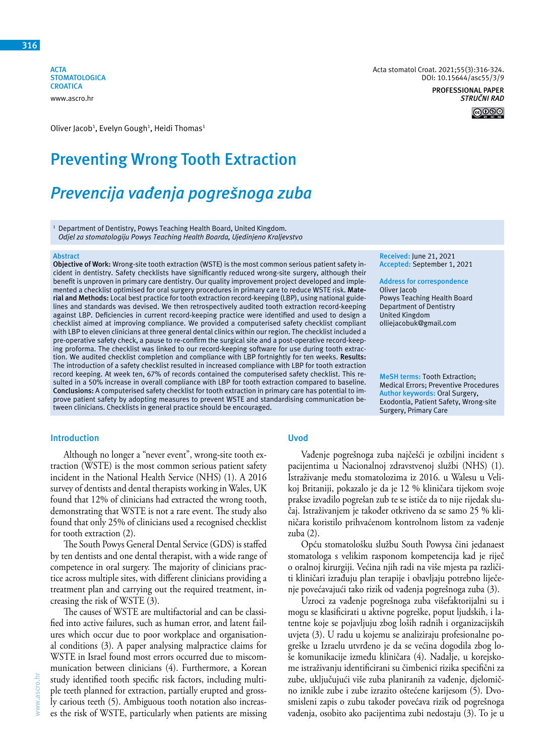**ACTA STOMATOLOGICA CROATICA** www.ascro.hr

Oliver Jacob<sup>1</sup>, Evelyn Gough<sup>1</sup>, Heidi Thomas<sup>1</sup>

# **Preventing Wrong Tooth Extraction**

# *Prevencija vađenja pogrešnoga zuba*

<sup>1</sup> Department of Dentistry, Powys Teaching Health Board, United Kingdom. *Odjel za stomatologiju Powys Teaching Health Boarda, Ujedinjeno Kraljevstvo*

#### **Abstract**

**Objective of Work:** Wrong-site tooth extraction (WSTE) is the most common serious patient safety incident in dentistry. Safety checklists have significantly reduced wrong-site surgery, although their benefit is unproven in primary care dentistry. Our quality improvement project developed and implemented a checklist optimised for oral surgery procedures in primary care to reduce WSTE risk. **Material and Methods:** Local best practice for tooth extraction record-keeping (LBP), using national guidelines and standards was devised. We then retrospectively audited tooth extraction record-keeping against LBP. Deficiencies in current record-keeping practice were identified and used to design a checklist aimed at improving compliance. We provided a computerised safety checklist compliant with LBP to eleven clinicians at three general dental clinics within our region. The checklist included a pre-operative safety check, a pause to re-confirm the surgical site and a post-operative record-keeping proforma. The checklist was linked to our record-keeping software for use during tooth extraction. We audited checklist completion and compliance with LBP fortnightly for ten weeks. **Results:** The introduction of a safety checklist resulted in increased compliance with LBP for tooth extraction record keeping. At week ten, 67% of records contained the computerised safety checklist. This resulted in a 50% increase in overall compliance with LBP for tooth extraction compared to baseline. **Conclusions:** A computerised safety checklist for tooth extraction in primary care has potential to improve patient safety by adopting measures to prevent WSTE and standardising communication between clinicians. Checklists in general practice should be encouraged.

**Introduction**

Although no longer a "never event", wrong-site tooth extraction (WSTE) is the most common serious patient safety incident in the National Health Service (NHS) (1). A 2016 survey of dentists and dental therapists working in Wales, UK found that 12% of clinicians had extracted the wrong tooth, demonstrating that WSTE is not a rare event. The study also found that only 25% of clinicians used a recognised checklist for tooth extraction (2).

The South Powys General Dental Service (GDS) is staffed by ten dentists and one dental therapist, with a wide range of competence in oral surgery. The majority of clinicians practice across multiple sites, with different clinicians providing a treatment plan and carrying out the required treatment, increasing the risk of WSTE (3).

The causes of WSTE are multifactorial and can be classified into active failures, such as human error, and latent failures which occur due to poor workplace and organisational conditions (3). A paper analysing malpractice claims for WSTE in Israel found most errors occurred due to miscommunication between clinicians (4). Furthermore, a Korean study identified tooth specific risk factors, including multiple teeth planned for extraction, partially erupted and grossly carious teeth (5). Ambiguous tooth notation also increases the risk of WSTE, particularly when patients are missing

# **Uvod**

Vađenje pogrešnoga zuba najčešći je ozbiljni incident s pacijentima u Nacionalnoj zdravstvenoj službi (NHS) (1). Istraživanje među stomatolozima iz 2016. u Walesu u Velikoj Britaniji, pokazalo je da je 12 % kliničara tijekom svoje prakse izvadilo pogrešan zub te se ističe da to nije rijedak slučaj. Istraživanjem je također otkriveno da se samo 25 % kliničara koristilo prihvaćenom kontrolnom listom za vađenje zuba (2).

Opću stomatološku službu South Powysa čini jedanaest stomatologa s velikim rasponom kompetencija kad je riječ o oralnoj kirurgiji. Većina njih radi na više mjesta pa različiti kliničari izrađuju plan terapije i obavljaju potrebno liječenje povećavajući tako rizik od vađenja pogrešnoga zuba (3).

Uzroci za vađenje pogrešnoga zuba višefaktorijalni su i mogu se klasificirati u aktivne pogreške, poput ljudskih, i latentne koje se pojavljuju zbog loših radnih i organizacijskih uvjeta (3). U radu u kojemu se analiziraju profesionalne pogreške u Izraelu utvrđeno je da se većina dogodila zbog loše komunikacije između kliničara (4). Nadalje, u korejskome istraživanju identificirani su čimbenici rizika specifični za zube, uključujući više zuba planiranih za vađenje, djelomično iznikle zube i zube izrazito oštećene karijesom (5). Dvosmisleni zapis o zubu također povećava rizik od pogrešnoga vađenja, osobito ako pacijentima zubi nedostaju (3). To je u

Acta stomatol Croat. 2021;55(3):316-324. DOI: 10.15644/asc55/3/9

> **PROFESSIONAL PAPER** *STRUČNI RAD*



**Received:** June 21, 2021 **Accepted:** September 1, 2021

**Address for correspondence** Oliver Jacob Powys Teaching Health Board Department of Dentistry United Kingdom olliejacobuk@gmail.com

**MeSH terms:** Tooth Extraction; Medical Errors; Preventive Procedures **Author keywords:** Oral Surgery, Exodontia, Patient Safety, Wrong-site Surgery, Primary Care

www.ascro.hr ascro.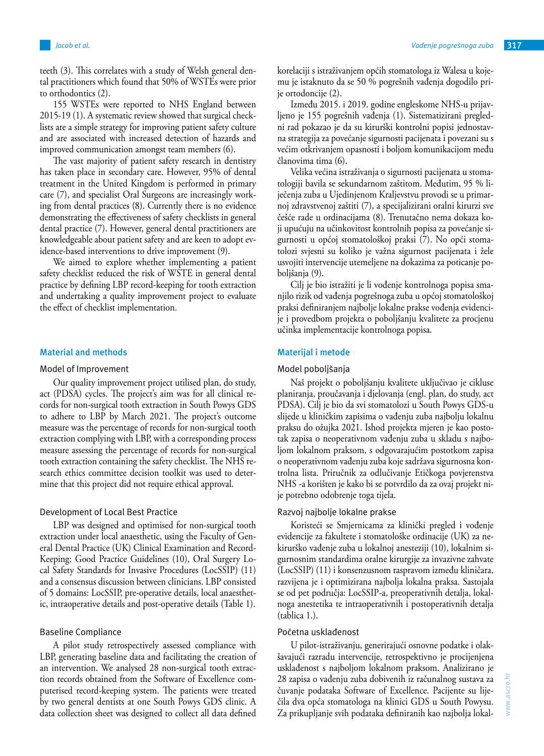teeth (3). This correlates with a study of Welsh general dental practitioners which found that 50% of WSTEs were prior to orthodontics (2).

155 WSTEs were reported to NHS England between 2015-19 (1). A systematic review showed that surgical checklists are a simple strategy for improving patient safety culture and are associated with increased detection of hazards and improved communication amongst team members (6).

The vast majority of patient safety research in dentistry has taken place in secondary care. However, 95% of dental treatment in the United Kingdom is performed in primary care (7), and specialist Oral Surgeons are increasingly working from dental practices (8). Currently there is no evidence demonstrating the effectiveness of safety checklists in general dental practice (7). However, general dental practitioners are knowledgeable about patient safety and are keen to adopt evidence-based interventions to drive improvement (9).

We aimed to explore whether implementing a patient safety checklist reduced the risk of WSTE in general dental practice by defining LBP record-keeping for tooth extraction and undertaking a quality improvement project to evaluate the effect of checklist implementation.

# **Material and methods**

### Model of Improvement

Our quality improvement project utilised plan, do study, act (PDSA) cycles. The project's aim was for all clinical records for non-surgical tooth extraction in South Powys GDS to adhere to LBP by March 2021. The project's outcome measure was the percentage of records for non-surgical tooth extraction complying with LBP, with a corresponding process measure assessing the percentage of records for non-surgical tooth extraction containing the safety checklist. The NHS research ethics committee decision toolkit was used to determine that this project did not require ethical approval.

# Development of Local Best Practice

LBP was designed and optimised for non-surgical tooth extraction under local anaesthetic, using the Faculty of General Dental Practice (UK) Clinical Examination and Record-Keeping: Good Practice Guidelines (10), Oral Surgery Local Safety Standards for Invasive Procedures (LocSSIP) (11) and a consensus discussion between clinicians. LBP consisted of 5 domains: LocSSIP, pre-operative details, local anaesthetic, intraoperative details and post-operative details (Table 1).

# Baseline Compliance

A pilot study retrospectively assessed compliance with LBP, generating baseline data and facilitating the creation of an intervention. We analysed 28 non-surgical tooth extraction records obtained from the Software of Excellence computerised record-keeping system. The patients were treated by two general dentists at one South Powys GDS clinic. A data collection sheet was designed to collect all data defined

korelaciji s istraživanjem općih stomatologa iz Walesa u kojemu je istaknuto da se 50 % pogrešnih vađenja dogodilo prije ortodoncije (2).

Između 2015. i 2019. godine engleskome NHS-u prijavljeno je 155 pogrešnih vađenja (1). Sistematizirani pregledni rad pokazao je da su kirurški kontrolni popisi jednostavna strategija za povećanje sigurnosti pacijenata i povezani su s većim otkrivanjem opasnosti i boljom komunikacijom među članovima tima (6).

Velika većina istraživanja o sigurnosti pacijenata u stomatologiji bavila se sekundarnom zaštitom. Međutim, 95 % liječenja zuba u Ujedinjenom Kraljevstvu provodi se u primarnoj zdravstvenoj zaštiti (7), a specijalizirani oralni kirurzi sve češće rade u ordinacijama (8). Trenutačno nema dokaza koji upućuju na učinkovitost kontrolnih popisa za povećanje sigurnosti u općoj stomatološkoj praksi (7). No opći stomatolozi svjesni su koliko je važna sigurnost pacijenata i žele usvojiti intervencije utemeljene na dokazima za poticanje poboljšanja (9).

Cilj je bio istražiti je li vođenje kontrolnoga popisa smanjilo rizik od vađenja pogrešnoga zuba u općoj stomatološkoj praksi definiranjem najbolje lokalne prakse vođenja evidencije i provedbom projekta o poboljšanju kvalitete za procjenu učinka implementacije kontrolnoga popisa.

# **Materijal i metode**

# Model poboljšanja

Naš projekt o poboljšanju kvalitete uključivao je cikluse planiranja, proučavanja i djelovanja (engl. plan, do study, act PDSA). Cilj je bio da svi stomatolozi u South Powys GDS-u slijede u kliničkim zapisima o vađenju zuba najbolju lokalnu praksu do ožujka 2021. Ishod projekta mjeren je kao postotak zapisa o neoperativnom vađenju zuba u skladu s najboljom lokalnom praksom, s odgovarajućim postotkom zapisa o neoperativnom vađenju zuba koje sadržava sigurnosna kontrolna lista. Priručnik za odlučivanje Etičkoga povjerenstva NHS -a korišten je kako bi se potvrdilo da za ovaj projekt nije potrebno odobrenje toga tijela.

# Razvoj najbolje lokalne prakse

Koristeći se Smjernicama za klinički pregled i vođenje evidencije za fakultete i stomatološke ordinacije (UK) za nekirurško vađenje zuba u lokalnoj anesteziji (10), lokalnim sigurnosnim standardima oralne kirurgije za invazivne zahvate (LocSSIP) (11) i konsenzusnom raspravom između kliničara, razvijena je i optimizirana najbolja lokalna praksa. Sastojala se od pet područja: LocSSIP-a, preoperativnih detalja, lokalnoga anestetika te intraoperativnih i postoperativnih detalja (tablica 1.).

# Početna usklađenost

U pilot-istraživanju, generirajući osnovne podatke i olakšavajući razradu intervencije, retrospektivno je procijenjena usklađenost s najboljom lokalnom praksom. Analizirano je 28 zapisa o vađenju zuba dobivenih iz računalnog sustava za čuvanje podataka Software of Excellence. Pacijente su liječila dva opća stomatologa na klinici GDS u South Powysu. Za prikupljanje svih podataka definiranih kao najbolja lokal-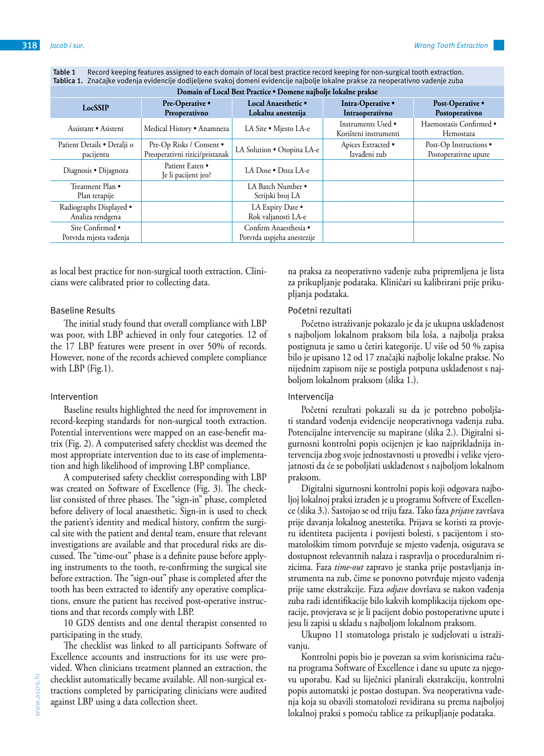| Domain of Local Best Practice . Domene najbolje lokalne prakse |                                                            |                                                     |                                             |                                                |
|----------------------------------------------------------------|------------------------------------------------------------|-----------------------------------------------------|---------------------------------------------|------------------------------------------------|
| LocSSIP                                                        | Pre-Operative •<br>Preoperativno                           | Local Anaesthetic •<br>Lokalna anestezija           | Intra-Operative •<br>Intraoperativno        | Post-Operative •<br>Postoperativno             |
| Assistant • Asistent                                           | Medical History • Anamneza                                 | LA Site • Mjesto LA-e                               | Instruments Used .<br>Korišteni instrumenti | Haemostasis Confirmed •<br>Hemostaza           |
| Patient Details • Detalji o<br>pacijentu                       | Pre-Op Risks / Consent •<br>Preoperativni rizici/pristanak | LA Solution • Otopina LA-e                          | Apices Extracted •<br>Izvađeni zub          | Post-Op Instructions •<br>Postoperativne upute |
| Diagnosis · Dijagnoza                                          | Patient Eaten •<br>Je li pacijent jeo?                     | LA Dose • Doza LA-e                                 |                                             |                                                |
| Treatment Plan •<br>Plan terapije                              |                                                            | LA Batch Number •<br>Serijski broj LA               |                                             |                                                |
| Radiographs Displayed •<br>Analiza rendgena                    |                                                            | LA Expiry Date •<br>Rok valjanosti LA-e             |                                             |                                                |
| Site Confirmed •<br>Potvrda mjesta vađenja                     |                                                            | Confirm Anaesthesia •<br>Potvrda uspjeha anestezije |                                             |                                                |

**Table 1** Record keeping features assigned to each domain of local best practice record keeping for non-surgical tooth extraction. **Tablica 1.** Značajke vođenja evidencije dodijeljene svakoj domeni evidencije najbolje lokalne prakse za neoperativno vađenje zuba

as local best practice for non-surgical tooth extraction. Clinicians were calibrated prior to collecting data.

# Baseline Results

The initial study found that overall compliance with LBP was poor, with LBP achieved in only four categories. 12 of the 17 LBP features were present in over 50% of records. However, none of the records achieved complete compliance with LBP (Fig. 1).

# Intervention

Baseline results highlighted the need for improvement in record-keeping standards for non-surgical tooth extraction. Potential interventions were mapped on an ease-benefit matrix (Fig. 2). A computerised safety checklist was deemed the most appropriate intervention due to its ease of implementation and high likelihood of improving LBP compliance.

A computerised safety checklist corresponding with LBP was created on Software of Excellence (Fig. 3). The checklist consisted of three phases. The "sign-in" phase, completed before delivery of local anaesthetic. Sign-in is used to check the patient's identity and medical history, confirm the surgical site with the patient and dental team, ensure that relevant investigations are available and that procedural risks are discussed. The "time-out" phase is a definite pause before applying instruments to the tooth, re-confirming the surgical site before extraction. The "sign-out" phase is completed after the tooth has been extracted to identify any operative complications, ensure the patient has received post-operative instructions and that records comply with LBP.

10 GDS dentists and one dental therapist consented to participating in the study.

The checklist was linked to all participants Software of Excellence accounts and instructions for its use were provided. When clinicians treatment planned an extraction, the checklist automatically became available. All non-surgical extractions completed by participating clinicians were audited against LBP using a data collection sheet.

na praksa za neoperativno vađenje zuba pripremljena je lista za prikupljanje podataka. Kliničari su kalibrirani prije prikupljanja podataka.

# Početni rezultati

Početno istraživanje pokazalo je da je ukupna usklađenost s najboljom lokalnom praksom bila loša, a najbolja praksa postignuta je samo u četiri kategorije. U više od 50 % zapisa bilo je upisano 12 od 17 značajki najbolje lokalne prakse. No nijednim zapisom nije se postigla potpuna usklađenost s najboljom lokalnom praksom (slika 1.).

#### Intervencija

Početni rezultati pokazali su da je potrebno poboljšati standard vođenja evidencije neoperativnoga vađenja zuba. Potencijalne intervencije su mapirane (slika 2.). Digitalni sigurnosni kontrolni popis ocijenjen je kao najprikladnija intervencija zbog svoje jednostavnosti u provedbi i velike vjerojatnosti da će se poboljšati usklađenost s najboljom lokalnom praksom.

Digitalni sigurnosni kontrolni popis koji odgovara najboljoj lokalnoj praksi izrađen je u programu Softvere of Excellence (slika 3.). Sastojao se od triju faza. Tako faza *prijave* završava prije davanja lokalnog anestetika. Prijava se koristi za provjeru identiteta pacijenta i povijesti bolesti, s pacijentom i stomatološkim timom potvrđuje se mjesto vađenja, osigurava se dostupnost relevantnih nalaza i raspravlja o proceduralnim rizicima. Faza *time-out* zapravo je stanka prije postavljanja instrumenta na zub, čime se ponovno potvrđuje mjesto vađenja prije same ekstrakcije. Faza *odjave* dovršava se nakon vađenja zuba radi identifikacije bilo kakvih komplikacija tijekom operacije, provjerava se je li pacijent dobio postoperativne upute i jesu li zapisi u skladu s najboljom lokalnom praksom.

Ukupno 11 stomatologa pristalo je sudjelovati u istraživanju.

Kontrolni popis bio je povezan sa svim korisnicima računa programa Software of Excellence i dane su upute za njegovu uporabu. Kad su liječnici planirali ekstrakciju, kontrolni popis automatski je postao dostupan. Sva neoperativna vađenja koja su obavili stomatolozi revidirana su prema najboljoj lokalnoj praksi s pomoću tablice za prikupljanje podataka.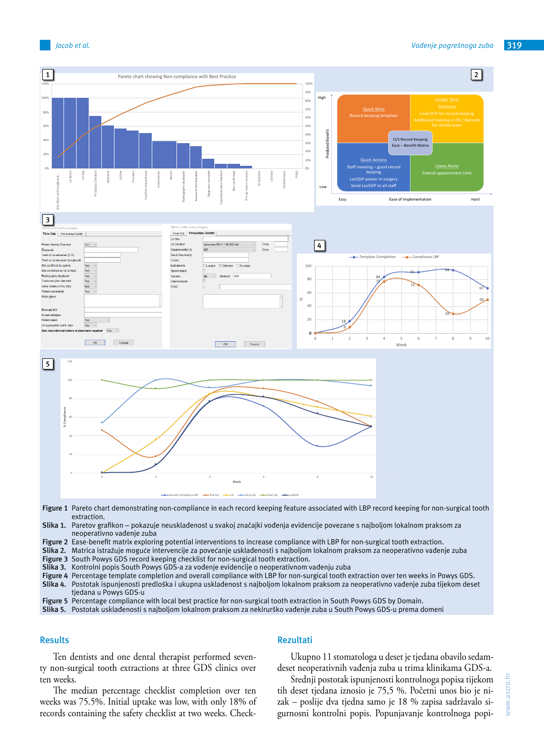

**Figure 1** Pareto chart demonstrating non-compliance in each record keeping feature associated with LBP record keeping for non-surgical tooth<br>extraction. extraction.

**Slika 1.** Paretov grafikon – pokazuje neusklađenost u svakoj značajki vođenja evidencije povezane s najboljom lokalnom praksom za neoperativno vađenje zuba neoperativno vadenje zuba<br>**Figure 2** Ease-benefit matrix exploring potential interventions to increase compliance with LBP for non-surgical tooth extraction.

**Slika 2.** Matrica istražuje moguće intervencije za povećanje usklađenosti s najboljom lokalnom praksom za neoperativno vađenje zuba

**Figure 3** South Powys GDS record keeping checklist for non-surgical tooth extraction.

**Slika 3.** Kontrolni popis South Powys GDS-a za vođenje evidencije o neoperativnom vađenju zuba

**Figure 4** Percentage template completion and overall compliance with LBP for non-surgical tooth extraction over ten weeks in Powys GDS. **References Slika 4.** Postotak ispunjenosti predloška i ukupna usklađenost s najboljom lokalnom praksom za neoperativno vađenje zuba tijekom deset tjedana u Powys GDS-u

**Figure 5** Percentage compliance with local best practice for non-surgical tooth extraction in South Powys GDS by Domain.

**Slika 5.** Postotak usklađenosti s najboljom lokalnom praksom za nekirurško vađenje zuba u South Powys GDS-u prema domeni

# **Results**

Ten dentists and one dental therapist performed seven-<br>Ukupno 11 stomatolo survey/ ty non-surgical tooth extractions at three GDS clinics over 3. Saksena A, Pemberton MN, Shaw A, Dickson S, Ashley MP. Preventing wrong tooth Srednji postotak ispunjenosti kontrolnoga popisa tijekom ten weeks.

The median percentage checklist completion over ten<br> $\frac{1}{25}$ weeks was 75.5%. Initial uptake was low, with only 18% of zak – poslije dva tjedna sam records containing the safety checklist at two weeks. Check-<sub>gu</sub>

#### Tooth - Experimental and Wales [Internet]. 2016. Available from: 2016. Available from: 2016. Available from: 2016. Available from: 2016. Available from: 2016. Available from: 2016. Available from: 2016. Available from: 201 **Rezultati**

Ukupno 11 stomatologa u deset je tjedana obavilo sedamdeset neoperativnih vađenja zuba u trima klinikama GDS-a.

extraction: Experience in developmentation: Experience in developmentation of and implementation of an outpati<br>The second intervention of an outpatient and implementation of an outpatient and implementation of an outpatie tih deset tjedana iznosio je 75,5 %. Početni unos bio je nizak – poslije dva tjedna samo je 18 % zapisa sadržavalo sigurnosni kontrolni popis. Popunjavanje kontrolnoga popi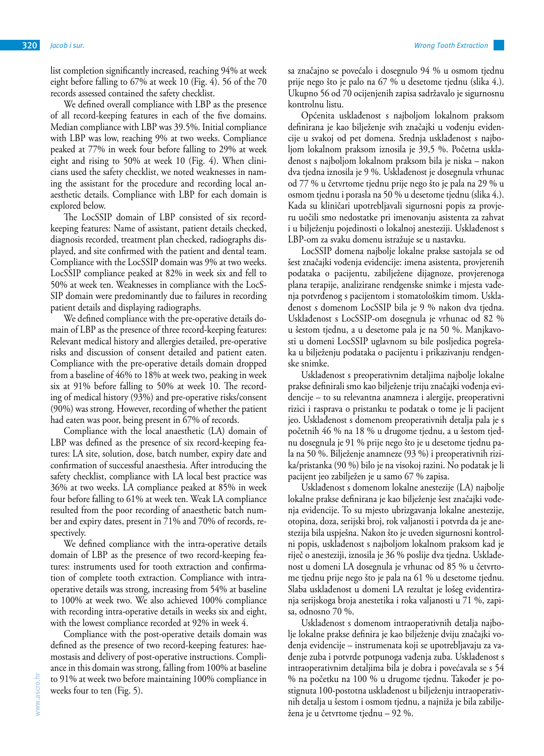list completion significantly increased, reaching 94% at week eight before falling to 67% at week 10 (Fig. 4). 56 of the 70 records assessed contained the safety checklist.

We defined overall compliance with LBP as the presence of all record-keeping features in each of the five domains. Median compliance with LBP was 39.5%. Initial compliance with LBP was low, reaching 9% at two weeks. Compliance peaked at 77% in week four before falling to 29% at week eight and rising to 50% at week 10 (Fig. 4). When clinicians used the safety checklist, we noted weaknesses in naming the assistant for the procedure and recording local anaesthetic details. Compliance with LBP for each domain is explored below.

The LocSSIP domain of LBP consisted of six recordkeeping features: Name of assistant, patient details checked, diagnosis recorded, treatment plan checked, radiographs displayed, and site confirmed with the patient and dental team. Compliance with the LocSSIP domain was 9% at two weeks. LocSSIP compliance peaked at 82% in week six and fell to 50% at week ten. Weaknesses in compliance with the LocS-SIP domain were predominantly due to failures in recording patient details and displaying radiographs.

We defined compliance with the pre-operative details domain of LBP as the presence of three record-keeping features: Relevant medical history and allergies detailed, pre-operative risks and discussion of consent detailed and patient eaten. Compliance with the pre-operative details domain dropped from a baseline of 46% to 18% at week two, peaking in week six at 91% before falling to 50% at week 10. The recording of medical history (93%) and pre-operative risks/consent (90%) was strong. However, recording of whether the patient had eaten was poor, being present in 67% of records.

Compliance with the local anaesthetic (LA) domain of LBP was defined as the presence of six record-keeping features: LA site, solution, dose, batch number, expiry date and confirmation of successful anaesthesia. After introducing the safety checklist, compliance with LA local best practice was 36% at two weeks. LA compliance peaked at 85% in week four before falling to 61% at week ten. Weak LA compliance resulted from the poor recording of anaesthetic batch number and expiry dates, present in 71% and 70% of records, respectively.

We defined compliance with the intra-operative details domain of LBP as the presence of two record-keeping features: instruments used for tooth extraction and confirmation of complete tooth extraction. Compliance with intraoperative details was strong, increasing from 54% at baseline to 100% at week two. We also achieved 100% compliance with recording intra-operative details in weeks six and eight, with the lowest compliance recorded at 92% in week 4.

Compliance with the post-operative details domain was defined as the presence of two record-keeping features: haemostasis and delivery of post-operative instructions. Compliance in this domain was strong, falling from 100% at baseline to 91% at week two before maintaining 100% compliance in weeks four to ten (Fig. 5).

sa značajno se povećalo i dosegnulo 94 % u osmom tjednu prije nego što je palo na 67 % u desetome tjednu (slika 4.). Ukupno 56 od 70 ocijenjenih zapisa sadržavalo je sigurnosnu kontrolnu listu.

Općenita usklađenost s najboljom lokalnom praksom definirana je kao bilježenje svih značajki u vođenju evidencije u svakoj od pet domena. Srednja usklađenost s najboljom lokalnom praksom iznosila je 39,5 %. Početna usklađenost s najboljom lokalnom praksom bila je niska – nakon dva tjedna iznosila je 9 %. Usklađenost je dosegnula vrhunac od 77 % u četvrtome tjednu prije nego što je pala na 29 % u osmom tjednu i porasla na 50 % u desetome tjednu (slika 4.). Kada su kliničari upotrebljavali sigurnosni popis za provjeru uočili smo nedostatke pri imenovanju asistenta za zahvat i u bilježenju pojedinosti o lokalnoj anesteziji. Usklađenost s LBP-om za svaku domenu istražuje se u nastavku.

LocSSIP domena najbolje lokalne prakse sastojala se od šest značajki vođenja evidencije: imena asistenta, provjerenih podataka o pacijentu, zabilježene dijagnoze, provjerenoga plana terapije, analizirane rendgenske snimke i mjesta vađenja potvrđenog s pacijentom i stomatološkim timom. Usklađenost s domenom LocSSIP bila je 9 % nakon dva tjedna. Usklađenost s LocSSIP-om dosegnula je vrhunac od 82 % u šestom tjednu, a u desetome pala je na 50 %. Manjkavosti u domeni LocSSIP uglavnom su bile posljedica pogrešaka u bilježenju podataka o pacijentu i prikazivanju rendgenske snimke.

Usklađenost s preoperativnim detaljima najbolje lokalne prakse definirali smo kao bilježenje triju značajki vođenja evidencije – to su relevantna anamneza i alergije, preoperativni rizici i rasprava o pristanku te podatak o tome je li pacijent jeo. Usklađenost s domenom preoperativnih detalja pala je s početnih 46 % na 18 % u drugome tjednu, a u šestom tjednu dosegnula je 91 % prije nego što je u desetome tjednu pala na 50 %. Bilježenje anamneze (93 %) i preoperativnih rizika/pristanka (90 %) bilo je na visokoj razini. No podatak je li pacijent jeo zabilježen je u samo 67 % zapisa.

Usklađenost s domenom lokalne anestezije (LA) najbolje lokalne prakse definirana je kao bilježenje šest značajki vođenja evidencije. To su mjesto ubrizgavanja lokalne anestezije, otopina, doza, serijski broj, rok valjanosti i potvrda da je anestezija bila uspješna. Nakon što je uveden sigurnosni kontrolni popis, usklađenost s najboljom lokalnom praksom kad je riječ o anesteziji, iznosila je 36 % poslije dva tjedna. Usklađenost u domeni LA dosegnula je vrhunac od 85 % u četvrtome tjednu prije nego što je pala na 61 % u desetome tjednu. Slaba usklađenost u domeni LA rezultat je lošeg evidentiranja serijskoga broja anestetika i roka valjanosti u 71 %, zapisa, odnosno 70 %.

Usklađenost s domenom intraoperativnih detalja najbolje lokalne prakse definira je kao bilježenje dviju značajki vođenja evidencije – instrumenata koji se upotrebljavaju za vađenje zuba i potvrde potpunoga vađenja zuba. Usklađenost s intraoperativnim detaljima bila je dobra i povećavala se s 54 % na početku na 100 % u drugome tjednu. Također je postignuta 100-postotna usklađenost u bilježenju intraoperativnih detalja u šestom i osmom tjednu, a najniža je bila zabilježena je u četvrtome tjednu – 92 %.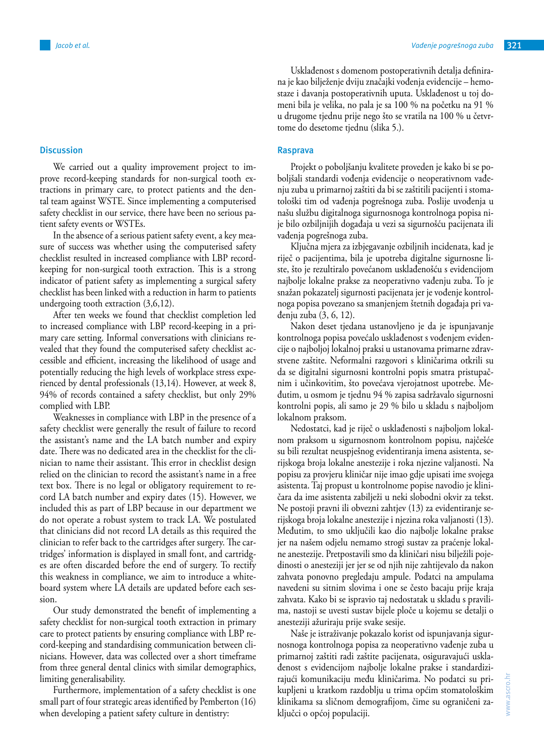# **Discussion**

We carried out a quality improvement project to improve record-keeping standards for non-surgical tooth extractions in primary care, to protect patients and the dental team against WSTE. Since implementing a computerised safety checklist in our service, there have been no serious patient safety events or WSTEs.

In the absence of a serious patient safety event, a key measure of success was whether using the computerised safety checklist resulted in increased compliance with LBP recordkeeping for non-surgical tooth extraction. This is a strong indicator of patient safety as implementing a surgical safety checklist has been linked with a reduction in harm to patients undergoing tooth extraction (3,6,12).

After ten weeks we found that checklist completion led to increased compliance with LBP record-keeping in a primary care setting. Informal conversations with clinicians revealed that they found the computerised safety checklist accessible and efficient, increasing the likelihood of usage and potentially reducing the high levels of workplace stress experienced by dental professionals (13,14). However, at week 8, 94% of records contained a safety checklist, but only 29% complied with LBP.

Weaknesses in compliance with LBP in the presence of a safety checklist were generally the result of failure to record the assistant's name and the LA batch number and expiry date. There was no dedicated area in the checklist for the clinician to name their assistant. This error in checklist design relied on the clinician to record the assistant's name in a free text box. There is no legal or obligatory requirement to record LA batch number and expiry dates (15). However, we included this as part of LBP because in our department we do not operate a robust system to track LA. We postulated that clinicians did not record LA details as this required the clinician to refer back to the cartridges after surgery. The cartridges' information is displayed in small font, and cartridges are often discarded before the end of surgery. To rectify this weakness in compliance, we aim to introduce a whiteboard system where LA details are updated before each session.

Our study demonstrated the benefit of implementing a safety checklist for non-surgical tooth extraction in primary care to protect patients by ensuring compliance with LBP record-keeping and standardising communication between clinicians. However, data was collected over a short timeframe from three general dental clinics with similar demographics, limiting generalisability.

Furthermore, implementation of a safety checklist is one small part of four strategic areas identified by Pemberton (16) when developing a patient safety culture in dentistry:

Usklađenost s domenom postoperativnih detalja definirana je kao bilježenje dviju značajki vođenja evidencije – hemostaze i davanja postoperativnih uputa. Usklađenost u toj domeni bila je velika, no pala je sa 100 % na početku na 91 % u drugome tjednu prije nego što se vratila na 100 % u četvrtome do desetome tjednu (slika 5.).

#### **Rasprava**

Projekt o poboljšanju kvalitete proveden je kako bi se poboljšali standardi vođenja evidencije o neoperativnom vađenju zuba u primarnoj zaštiti da bi se zaštitili pacijenti i stomatološki tim od vađenja pogrešnoga zuba. Poslije uvođenja u našu službu digitalnoga sigurnosnoga kontrolnoga popisa nije bilo ozbiljnijih događaja u vezi sa sigurnošću pacijenata ili vađenja pogrešnoga zuba.

Ključna mjera za izbjegavanje ozbiljnih incidenata, kad je riječ o pacijentima, bila je upotreba digitalne sigurnosne liste, što je rezultiralo povećanom usklađenošću s evidencijom najbolje lokalne prakse za neoperativno vađenju zuba. To je snažan pokazatelj sigurnosti pacijenata jer je vođenje kontrolnoga popisa povezano sa smanjenjem štetnih događaja pri vađenju zuba (3, 6, 12).

Nakon deset tjedana ustanovljeno je da je ispunjavanje kontrolnoga popisa povećalo usklađenost s vođenjem evidencije o najboljoj lokalnoj praksi u ustanovama primarne zdravstvene zaštite. Neformalni razgovori s kliničarima otkrili su da se digitalni sigurnosni kontrolni popis smatra pristupačnim i učinkovitim, što povećava vjerojatnost upotrebe. Međutim, u osmom je tjednu 94 % zapisa sadržavalo sigurnosni kontrolni popis, ali samo je 29 % bilo u skladu s najboljom lokalnom praksom.

Nedostatci, kad je riječ o usklađenosti s najboljom lokalnom praksom u sigurnosnom kontrolnom popisu, najčešće su bili rezultat neuspješnog evidentiranja imena asistenta, serijskoga broja lokalne anestezije i roka njezine valjanosti. Na popisu za provjeru kliničar nije imao gdje upisati ime svojega asistenta. Taj propust u kontrolnome popise navodio je kliničara da ime asistenta zabilježi u neki slobodni okvir za tekst. Ne postoji pravni ili obvezni zahtjev (13) za evidentiranje serijskoga broja lokalne anestezije i njezina roka valjanosti (13). Međutim, to smo uključili kao dio najbolje lokalne prakse jer na našem odjelu nemamo strogi sustav za praćenje lokalne anestezije. Pretpostavili smo da kliničari nisu bilježili pojedinosti o anesteziji jer jer se od njih nije zahtijevalo da nakon zahvata ponovno pregledaju ampule. Podatci na ampulama navedeni su sitnim slovima i one se često bacaju prije kraja zahvata. Kako bi se ispravio taj nedostatak u skladu s pravilima, nastoji se uvesti sustav bijele ploče u kojemu se detalji o anesteziji ažuriraju prije svake sesije.

Naše je istraživanje pokazalo korist od ispunjavanja sigurnosnoga kontrolnoga popisa za neoperativno vađenje zuba u primarnoj zaštiti radi zaštite pacijenata, osiguravajući usklađenost s evidencijom najbolje lokalne prakse i standardizirajući komunikaciju među kliničarima. No podatci su prikupljeni u kratkom razdoblju u trima općim stomatološkim klinikama sa sličnom demografijom, čime su ograničeni zaključci o općoj populaciji.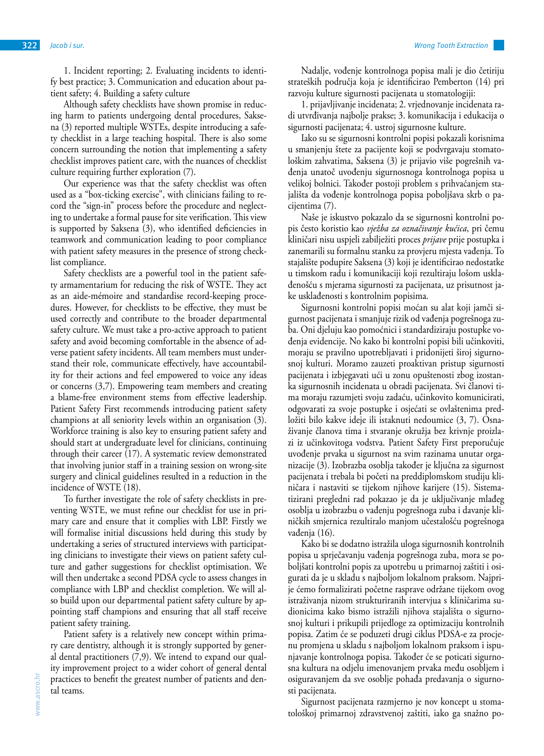1. Incident reporting; 2. Evaluating incidents to identify best practice; 3. Communication and education about patient safety; 4. Building a safety culture

Although safety checklists have shown promise in reducing harm to patients undergoing dental procedures, Saksena (3) reported multiple WSTEs, despite introducing a safety checklist in a large teaching hospital. There is also some concern surrounding the notion that implementing a safety checklist improves patient care, with the nuances of checklist culture requiring further exploration (7).

Our experience was that the safety checklist was often used as a "box-ticking exercise", with clinicians failing to record the "sign-in" process before the procedure and neglecting to undertake a formal pause for site verification. This view is supported by Saksena (3), who identified deficiencies in teamwork and communication leading to poor compliance with patient safety measures in the presence of strong checklist compliance.

Safety checklists are a powerful tool in the patient safety armamentarium for reducing the risk of WSTE. They act as an aide-mémoire and standardise record-keeping procedures. However, for checklists to be effective, they must be used correctly and contribute to the broader departmental safety culture. We must take a pro-active approach to patient safety and avoid becoming comfortable in the absence of adverse patient safety incidents. All team members must understand their role, communicate effectively, have accountability for their actions and feel empowered to voice any ideas or concerns (3,7). Empowering team members and creating a blame-free environment stems from effective leadership. Patient Safety First recommends introducing patient safety champions at all seniority levels within an organisation (3). Workforce training is also key to ensuring patient safety and should start at undergraduate level for clinicians, continuing through their career (17). A systematic review demonstrated that involving junior staff in a training session on wrong-site surgery and clinical guidelines resulted in a reduction in the incidence of WSTE (18).

To further investigate the role of safety checklists in preventing WSTE, we must refine our checklist for use in primary care and ensure that it complies with LBP. Firstly we will formalise initial discussions held during this study by undertaking a series of structured interviews with participating clinicians to investigate their views on patient safety culture and gather suggestions for checklist optimisation. We will then undertake a second PDSA cycle to assess changes in compliance with LBP and checklist completion. We will also build upon our departmental patient safety culture by appointing staff champions and ensuring that all staff receive patient safety training.

Patient safety is a relatively new concept within primary care dentistry, although it is strongly supported by general dental practitioners (7,9). We intend to expand our quality improvement project to a wider cohort of general dental practices to benefit the greatest number of patients and dental teams.

Nadalje, vođenje kontrolnoga popisa mali je dio četiriju strateških područja koja je identificirao Pemberton (14) pri razvoju kulture sigurnosti pacijenata u stomatologiji:

1. prijavljivanje incidenata; 2. vrjednovanje incidenata radi utvrđivanja najbolje prakse; 3. komunikacija i edukacija o sigurnosti pacijenata; 4. ustroj sigurnosne kulture.

Iako su se sigurnosni kontrolni popisi pokazali korisnima u smanjenju štete za pacijente koji se podvrgavaju stomatološkim zahvatima, Saksena (3) je prijavio više pogrešnih vađenja unatoč uvođenju sigurnosnoga kontrolnoga popisa u velikoj bolnici. Također postoji problem s prihvaćanjem stajališta da vođenje kontrolnoga popisa poboljšava skrb o pacijentima (7).

Naše je iskustvo pokazalo da se sigurnosni kontrolni popis često koristio kao *vježba za označivanje kućica*, pri čemu kliničari nisu uspjeli zabilježiti proces *prijave* prije postupka i zanemarili su formalnu stanku za provjeru mjesta vađenja. To stajalište podupire Saksena (3) koji je identificirao nedostatke u timskom radu i komunikaciji koji rezultiraju lošom usklađenošću s mjerama sigurnosti za pacijenata, uz prisutnost jake usklađenosti s kontrolnim popisima.

Sigurnosni kontrolni popisi moćan su alat koji jamči sigurnost pacijenata i smanjuje rizik od vađenja pogrešnoga zuba. Oni djeluju kao pomoćnici i standardiziraju postupke vođenja evidencije. No kako bi kontrolni popisi bili učinkoviti, moraju se pravilno upotrebljavati i pridonijeti široj sigurnosnoj kulturi. Moramo zauzeti proaktivan pristup sigurnosti pacijenata i izbjegavati ući u zonu opuštenosti zbog izostanka sigurnosnih incidenata u obradi pacijenata. Svi članovi tima moraju razumjeti svoju zadaću, učinkovito komunicirati, odgovarati za svoje postupke i osjećati se ovlaštenima predložiti bilo kakve ideje ili istaknuti nedoumice (3, 7). Osnaživanje članova tima i stvaranje okružja bez krivnje proizlazi iz učinkovitoga vodstva. Patient Safety First preporučuje uvođenje prvaka u sigurnost na svim razinama unutar organizacije (3). Izobrazba osoblja također je ključna za sigurnost pacijenata i trebala bi početi na preddiplomskom studiju kliničara i nastaviti se tijekom njihove karijere (15). Sistematizirani pregledni rad pokazao je da je uključivanje mlađeg osoblja u izobrazbu o vađenju pogrešnoga zuba i davanje kliničkih smjernica rezultiralo manjom učestalošću pogrešnoga vađenja (16).

Kako bi se dodatno istražila uloga sigurnosnih kontrolnih popisa u sprječavanju vađenja pogrešnoga zuba, mora se poboljšati kontrolni popis za upotrebu u primarnoj zaštiti i osigurati da je u skladu s najboljom lokalnom praksom. Najprije ćemo formalizirati početne rasprave održane tijekom ovog istraživanja nizom strukturiranih intervjua s kliničarima sudionicima kako bismo istražili njihova stajališta o sigurnosnoj kulturi i prikupili prijedloge za optimizaciju kontrolnih popisa. Zatim će se poduzeti drugi ciklus PDSA-e za procjenu promjena u skladu s najboljom lokalnom praksom i ispunjavanje kontrolnoga popisa. Također će se poticati sigurnosna kultura na odjelu imenovanjem prvaka među osobljem i osiguravanjem da sve osoblje pohađa predavanja o sigurnosti pacijenata.

Sigurnost pacijenata razmjerno je nov koncept u stomatološkoj primarnoj zdravstvenoj zaštiti, iako ga snažno po-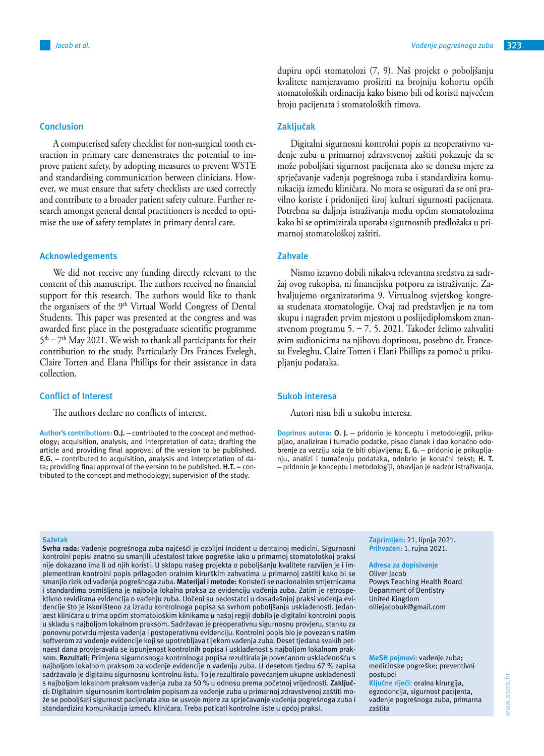# **Conclusion**

A computerised safety checklist for non-surgical tooth extraction in primary care demonstrates the potential to improve patient safety, by adopting measures to prevent WSTE and standardising communication between clinicians. However, we must ensure that safety checklists are used correctly and contribute to a broader patient safety culture. Further research amongst general dental practitioners is needed to optimise the use of safety templates in primary dental care.

# **Acknowledgements**

We did not receive any funding directly relevant to the content of this manuscript. The authors received no financial support for this research. The authors would like to thank the organisers of the 9<sup>th</sup> Virtual World Congress of Dental Students. This paper was presented at the congress and was awarded first place in the postgraduate scientific programme  $5<sup>th</sup> - 7<sup>th</sup>$  May 2021. We wish to thank all participants for their contribution to the study. Particularly Drs Frances Evelegh, Claire Totten and Elana Phillips for their assistance in data collection.

# **Conflict of Interest**

The authors declare no conflicts of interest.

**Author's contributions: O.J.** – contributed to the concept and methodology; acquisition, analysis, and interpretation of data; drafting the article and providing final approval of the version to be published. **E.G.** – contributed to acquisition, analysis and interpretation of data; providing final approval of the version to be published. **H.T.** – contributed to the concept and methodology; supervision of the study.

dupiru opći stomatolozi (7, 9). Naš projekt o poboljšanju kvalitete namjeravamo proširiti na brojniju kohortu općih stomatoloških ordinacija kako bismo bili od koristi najvećem broju pacijenata i stomatoloških timova.

# **Zaključak**

Digitalni sigurnosni kontrolni popis za neoperativno vađenje zuba u primarnoj zdravstvenoj zaštiti pokazuje da se može poboljšati sigurnost pacijenata ako se donesu mjere za sprječavanje vađenja pogrešnoga zuba i standardizira komunikacija između kliničara. No mora se osigurati da se oni pravilno koriste i pridonijeti široj kulturi sigurnosti pacijenata. Potrebna su daljnja istraživanja među općim stomatolozima kako bi se optimizirala uporaba sigurnosnih predložaka u primarnoj stomatološkoj zaštiti.

# **Zahvale**

Nismo izravno dobili nikakva relevantna sredstva za sadržaj ovog rukopisa, ni financijsku potporu za istraživanje. Zahvaljujemo organizatorima 9. Virtualnog svjetskog kongresa studenata stomatologije. Ovaj rad predstavljen je na tom skupu i nagrađen prvim mjestom u poslijediplomskom znanstvenom programu 5. – 7. 5. 2021. Također želimo zahvaliti svim sudionicima na njihovu doprinosu, posebno dr. Francesu Eveleghu, Claire Totten i Elani Phillips za pomoć u prikupljanju podataka.

# **Sukob interesa**

Autori nisu bili u sukobu interesa.

**Doprinos autora: O. J.** – pridonio je konceptu i metodologiji, prikupljao, analizirao i tumačio podatke, pisao članak i dao konačno odobrenje za verziju koja će biti objavljena; **E. G.** – pridonio je prikupljanju, analizi i tumačenju podataka, odobrio je konačni tekst; **H. T.**  – pridonio je konceptu i metodologiji, obavljao je nadzor istraživanja.

#### **Sažetak**

**Svrha rada:** Vađenje pogrešnoga zuba najčešći je ozbiljni incident u dentalnoj medicini. Sigurnosni kontrolni popisi znatno su smanjili učestalost takve pogreške iako u primarnoj stomatološkoj praksi nije dokazano ima li od njih koristi. U sklopu našeg projekta o poboljšanju kvalitete razvijen je i implementiran kontrolni popis prilagođen oralnim kirurškim zahvatima u primarnoj zaštiti kako bi se smanjio rizik od vađenja pogrešnoga zuba. **Materijal i metode:** Koristeći se nacionalnim smjernicama i standardima osmišljena je najbolja lokalna praksa za evidenciju vađenja zuba. Zatim je retrospektivno revidirana evidencija o vađenju zuba. Uočeni su nedostatci u dosadašnjoj praksi vođenja evidencije što je iskorišteno za izradu kontrolnoga popisa sa svrhom poboljšanja usklađenosti. Jedanaest kliničara u trima općim stomatološkim klinikama u našoj regiji dobilo je digitalni kontrolni popis u skladu s najboljom lokalnom praksom. Sadržavao je preoperativnu sigurnosnu provjeru, stanku za ponovnu potvrdu mjesta vađenja i postoperativnu evidenciju. Kontrolni popis bio je povezan s našim softverom za vođenje evidencije koji se upotrebljava tijekom vađenja zuba. Deset tjedana svakih petnaest dana provjeravala se ispunjenost kontrolnih popisa i usklađenost s najboljom lokalnom praksom. **Rezultati**: Primjena sigurnosnoga kontrolnoga popisa rezultirala je povećanom usklađenošću s najboljom lokalnom praksom za vođenje evidencije o vađenju zuba. U desetom tjednu 67 % zapisa sadržavalo je digitalnu sigurnosnu kontrolnu listu. To je rezultiralo povećanjem ukupne usklađenosti s najboljom lokalnom praksom vađenja zuba za 50 % u odnosu prema početnoj vrijednosti. **Zaključci**: Digitalnim sigurnosnim kontrolnim popisom za vađenje zuba u primarnoj zdravstvenoj zaštiti može se poboljšati sigurnost pacijenata ako se usvoje mjere za sprječavanje vađenja pogrešnoga zuba i standardizira komunikacija između kliničara. Treba poticati kontrolne liste u općoj praksi.

**Zaprimljen:** 21. lipnja 2021. **Prihvaćen:** 1. rujna 2021.

**Adresa za dopisivanje** Oliver Jacob Powys Teaching Health Board Department of Dentistry United Kingdom olliejacobuk@gmail.com

**MeSH pojmovi:** vađenje zuba; medicinske pogreške; preventivni postupci **Ključne riječi:** oralna kirurgija,

egzodoncija, sigurnost pacijenta, vađenje pogrešnoga zuba, primarna zaštita